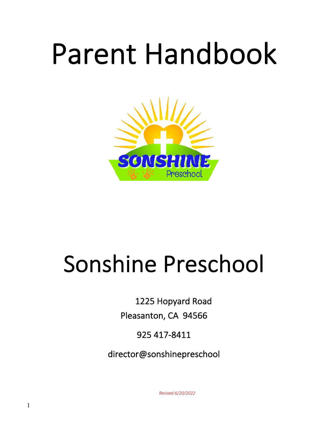# Parent Handbook



## Sonshine Preschool

1225 Hopyard Road

Pleasanton, CA 94566

925 417-8411

director@sonshinepreschool

*Revised 6/20/2022*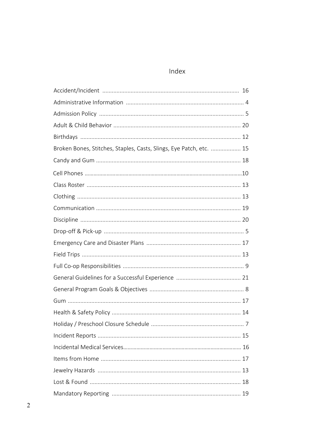## Index

| Broken Bones, Stitches, Staples, Casts, Slings, Eye Patch, etc.  15 |  |
|---------------------------------------------------------------------|--|
|                                                                     |  |
|                                                                     |  |
|                                                                     |  |
|                                                                     |  |
|                                                                     |  |
|                                                                     |  |
|                                                                     |  |
|                                                                     |  |
|                                                                     |  |
|                                                                     |  |
|                                                                     |  |
|                                                                     |  |
|                                                                     |  |
|                                                                     |  |
|                                                                     |  |
|                                                                     |  |
|                                                                     |  |
|                                                                     |  |
|                                                                     |  |
|                                                                     |  |
|                                                                     |  |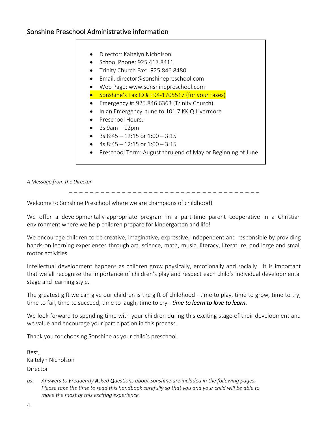- Director: Kaitelyn Nicholson
- School Phone: 925.417.8411
- Trinity Church Fax: 925.846.8480
- Email: director@sonshinepreschool.com
- Web Page: www.sonshinepreschool.com
- Sonshine's Tax ID # : 94-1705517 (for your taxes)
- Emergency #: 925.846.6363 (Trinity Church)
- In an Emergency, tune to 101.7 KKIQ Livermore
- Preschool Hours:
- $\bullet$  2s 9am  $-12$ pm
- 3s  $8:45 12:15$  or  $1:00 3:15$
- 4s  $8:45 12:15$  or  $1:00 3:15$
- Preschool Term: August thru end of May or Beginning of June

*A Message from the Director* 

\_ \_ \_ \_ \_ \_ \_ \_ \_ \_ \_ \_ \_ \_ \_ \_ \_ \_ \_ \_ \_ \_ \_ \_ \_ \_ \_ \_ \_ \_ \_ \_ \_ \_ \_ \_

Welcome to Sonshine Preschool where we are champions of childhood!

We offer a developmentally-appropriate program in a part-time parent cooperative in a Christian environment where we help children prepare for kindergarten and life!

We encourage children to be creative, imaginative, expressive, independent and responsible by providing hands-on learning experiences through art, science, math, music, literacy, literature, and large and small motor activities.

Intellectual development happens as children grow physically, emotionally and socially. It is important that we all recognize the importance of children's play and respect each child's individual developmental stage and learning style.

The greatest gift we can give our children is the gift of childhood - time to play, time to grow, time to try, time to fail, time to succeed, time to laugh, time to cry - *time to learn to love to learn*.

We look forward to spending time with your children during this exciting stage of their development and we value and encourage your participation in this process.

Thank you for choosing Sonshine as your child's preschool.

Best, Kaitelyn Nicholson Director

*ps: Answers to Frequently Asked Questions about Sonshine are included in the following pages. Please take the time to read this handbook carefully so that you and your child will be able to make the most of this exciting experience.*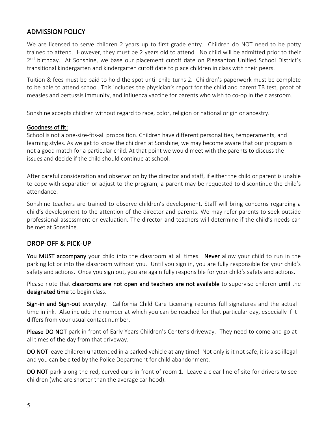## ADMISSION POLICY

We are licensed to serve children 2 years up to first grade entry. Children do NOT need to be potty trained to attend. However, they must be 2 years old to attend. No child will be admitted prior to their 2<sup>nd</sup> birthday. At Sonshine, we base our placement cutoff date on Pleasanton Unified School District's transitional kindergarten and kindergarten cutoff date to place children in class with their peers.

Tuition & fees must be paid to hold the spot until child turns 2. Children's paperwork must be complete to be able to attend school. This includes the physician's report for the child and parent TB test, proof of measles and pertussis immunity, and influenza vaccine for parents who wish to co-op in the classroom.

Sonshine accepts children without regard to race, color, religion or national origin or ancestry.

#### Goodness of fit:

School is not a one-size-fits-all proposition. Children have different personalities, temperaments, and learning styles. As we get to know the children at Sonshine, we may become aware that our program is not a good match for a particular child. At that point we would meet with the parents to discuss the issues and decide if the child should continue at school.

After careful consideration and observation by the director and staff, if either the child or parent is unable to cope with separation or adjust to the program, a parent may be requested to discontinue the child's attendance.

Sonshine teachers are trained to observe children's development. Staff will bring concerns regarding a child's development to the attention of the director and parents. We may refer parents to seek outside professional assessment or evaluation. The director and teachers will determine if the child's needs can be met at Sonshine.

## DROP-OFF & PICK-UP

You MUST accompany your child into the classroom at all times. Never allow your child to run in the parking lot or into the classroom without you. Until you sign in, you are fully responsible for your child's safety and actions. Once you sign out, you are again fully responsible for your child's safety and actions.

Please note that classrooms are not open and teachers are not available to supervise children until the designated time to begin class.

Sign-in and Sign-out everyday. California Child Care Licensing requires full signatures and the actual time in ink. Also include the number at which you can be reached for that particular day, especially if it differs from your usual contact number.

Please DO NOT park in front of Early Years Children's Center's driveway. They need to come and go at all times of the day from that driveway.

DO NOT leave children unattended in a parked vehicle at any time! Not only is it not safe, it is also illegal and you can be cited by the Police Department for child abandonment.

DO NOT park along the red, curved curb in front of room 1. Leave a clear line of site for drivers to see children (who are shorter than the average car hood).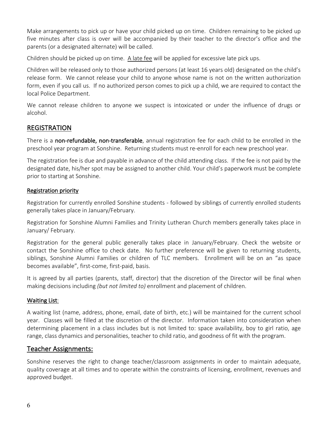Make arrangements to pick up or have your child picked up on time. Children remaining to be picked up five minutes after class is over will be accompanied by their teacher to the director's office and the parents (or a designated alternate) will be called.

Children should be picked up on time. A late fee will be applied for excessive late pick ups.

Children will be released only to those authorized persons (at least 16 years old) designated on the child's release form. We cannot release your child to anyone whose name is not on the written authorization form, even if you call us. If no authorized person comes to pick up a child, we are required to contact the local Police Department.

We cannot release children to anyone we suspect is intoxicated or under the influence of drugs or alcohol.

## REGISTRATION

There is a non-refundable, non-transferable, annual registration fee for each child to be enrolled in the preschool year program at Sonshine. Returning students must re-enroll for each new preschool year.

The registration fee is due and payable in advance of the child attending class. If the fee is not paid by the designated date, his/her spot may be assigned to another child. Your child's paperwork must be complete prior to starting at Sonshine.

#### Registration priority

Registration for currently enrolled Sonshine students - followed by siblings of currently enrolled students generally takes place in January/February.

Registration for Sonshine Alumni Families and Trinity Lutheran Church members generally takes place in January/ February.

Registration for the general public generally takes place in January/February. Check the website or contact the Sonshine office to check date. No further preference will be given to returning students, siblings, Sonshine Alumni Families or children of TLC members. Enrollment will be on an "as space becomes available", first-come, first-paid, basis.

It is agreed by all parties (parents, staff, director) that the discretion of the Director will be final when making decisions including *(but not limited to)* enrollment and placement of children.

#### Waiting List:

A waiting list (name, address, phone, email, date of birth, etc.) will be maintained for the current school year. Classes will be filled at the discretion of the director. Information taken into consideration when determining placement in a class includes but is not limited to: space availability, boy to girl ratio, age range, class dynamics and personalities, teacher to child ratio, and goodness of fit with the program.

## Teacher Assignments:

Sonshine reserves the right to change teacher/classroom assignments in order to maintain adequate, quality coverage at all times and to operate within the constraints of licensing, enrollment, revenues and approved budget.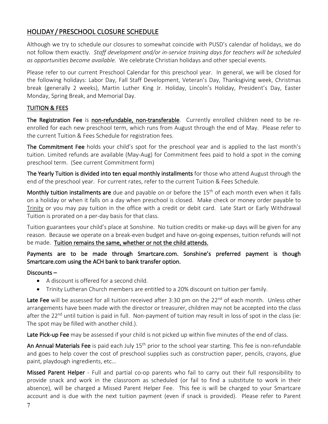## HOLIDAY / PRESCHOOL CLOSURE SCHEDULE

Although we try to schedule our closures to somewhat coincide with PUSD's calendar of holidays, we do not follow them exactly. *Staff development and/or in-service training days for teachers will be scheduled as opportunities become available.* We celebrate Christian holidays and other special events.

Please refer to our current Preschool Calendar for this preschool year. In general, we will be closed for the following holidays: Labor Day, Fall Staff Development, Veteran's Day, Thanksgiving week, Christmas break (generally 2 weeks), Martin Luther King Jr. Holiday, Lincoln's Holiday, President's Day, Easter Monday, Spring Break, and Memorial Day.

### TUITION & FEES

The Registration Fee is non-refundable, non-transferable. Currently enrolled children need to be reenrolled for each new preschool term, which runs from August through the end of May. Please refer to the current Tuition & Fees Schedule for registration fees.

The Commitment Fee holds your child's spot for the preschool year and is applied to the last month's tuition. Limited refunds are available (May-Aug) for Commitment fees paid to hold a spot in the coming preschool term. (See current Commitment form)

The Yearly Tuition is divided into ten equal monthly installments for those who attend August through the end of the preschool year. For current rates, refer to the current Tuition & Fees Schedule.

Monthly tuition installments are due and payable on or before the 15<sup>th</sup> of each month even when it falls on a holiday or when it falls on a day when preschool is closed. Make check or money order payable to Trinity or you may pay tuition in the office with a credit or debit card. Late Start or Early Withdrawal Tuition is prorated on a per-day basis for that class.

Tuition guarantees your child's place at Sonshine. No tuition credits or make-up days will be given for any reason. Because we operate on a break-even budget and have on-going expenses, tuition refunds will not be made. Tuition remains the same, whether or not the child attends.

### Payments are to be made through Smartcare.com. Sonshine's preferred payment is though Smartcare.com using the ACH bank to bank transfer option.

#### Discounts –

- A discount is offered for a second child.
- Trinity Lutheran Church members are entitled to a 20% discount on tuition per family.

Late Fee will be assessed for all tuition received after 3:30 pm on the  $22^{nd}$  of each month. Unless other arrangements have been made with the director or treasurer, children may not be accepted into the class after the 22<sup>nd</sup> until tuition is paid in full. Non-payment of tuition may result in loss of spot in the class (ie: The spot may be filled with another child.).

Late Pick-up Fee may be assessed if your child is not picked up within five minutes of the end of class.

An Annual Materials Fee is paid each July 15<sup>th</sup> prior to the school year starting. This fee is non-refundable and goes to help cover the cost of preschool supplies such as construction paper, pencils, crayons, glue paint, playdough ingredients, etc…

Missed Parent Helper - Full and partial co-op parents who fail to carry out their full responsibility to provide snack and work in the classroom as scheduled (or fail to find a substitute to work in their absence), will be charged a Missed Parent Helper Fee. This fee is will be charged to your Smartcare account and is due with the next tuition payment (even if snack is provided). Please refer to Parent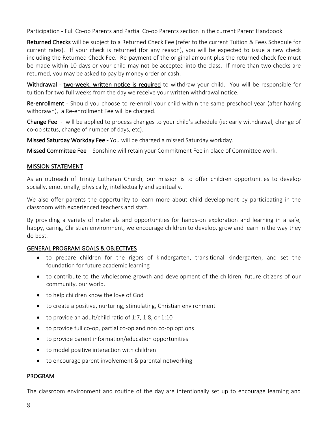Participation - Full Co-op Parents and Partial Co-op Parents section in the current Parent Handbook.

Returned Checks will be subject to a Returned Check Fee (refer to the current Tuition & Fees Schedule for current rates). If your check is returned (for any reason), you will be expected to issue a new check including the Returned Check Fee. Re-payment of the original amount plus the returned check fee must be made within 10 days or your child may not be accepted into the class. If more than two checks are returned, you may be asked to pay by money order or cash.

Withdrawal - two-week, written notice is required to withdraw your child. You will be responsible for tuition for two full weeks from the day we receive your written withdrawal notice.

Re-enrollment - Should you choose to re-enroll your child within the same preschool year (after having withdrawn), a Re-enrollment Fee will be charged.

Change Fee - will be applied to process changes to your child's schedule (ie: early withdrawal, change of co-op status, change of number of days, etc).

Missed Saturday Workday Fee - You will be charged a missed Saturday workday.

Missed Committee Fee – Sonshine will retain your Commitment Fee in place of Committee work.

#### MISSION STATEMENT

As an outreach of Trinity Lutheran Church, our mission is to offer children opportunities to develop socially, emotionally, physically, intellectually and spiritually.

We also offer parents the opportunity to learn more about child development by participating in the classroom with experienced teachers and staff.

By providing a variety of materials and opportunities for hands-on exploration and learning in a safe, happy, caring, Christian environment, we encourage children to develop, grow and learn in the way they do best.

#### GENERAL PROGRAM GOALS & OBJECTIVES

- to prepare children for the rigors of kindergarten, transitional kindergarten, and set the foundation for future academic learning
- to contribute to the wholesome growth and development of the children, future citizens of our community, our world.
- to help children know the love of God
- to create a positive, nurturing, stimulating, Christian environment
- to provide an adult/child ratio of 1:7, 1:8, or 1:10
- to provide full co-op, partial co-op and non co-op options
- to provide parent information/education opportunities
- to model positive interaction with children
- to encourage parent involvement & parental networking

#### PROGRAM

The classroom environment and routine of the day are intentionally set up to encourage learning and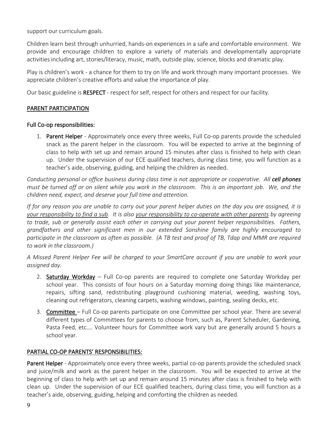support our curriculum goals.

Children learn best through unhurried, hands-on experiences in a safe and comfortable environment. We provide and encourage children to explore a variety of materials and developmentally appropriate activities including art, stories/literacy, music, math, outside play, science, blocks and dramatic play.

Play is children's work - a chance for them to try on life and work through many important processes. We appreciate children's creative efforts and value the importance of play.

Our basic guideline is RESPECT - respect for self, respect for others and respect for our facility.

#### PARENT PARTICIPATION

#### Full Co-op responsibilities:

1. Parent Helper - Approximately once every three weeks, Full Co-op parents provide the scheduled snack as the parent helper in the classroom. You will be expected to arrive at the beginning of class to help with set up and remain around 15 minutes after class is finished to help with clean up. Under the supervision of our ECE qualified teachers, during class time, you will function as a teacher's aide, observing, guiding, and helping the children as needed.

*Conducting personal or office business during class time is not appropriate or cooperative. All cell phones must be turned off or on silent while you work in the classroom. This is an important job. We, and the children need, expect, and deserve your full time and attention.*

*If for any reason you are unable to carry out your parent helper duties on the day you are assigned, it is your responsibility to find a sub. It is also your responsibility to co-operate with other parents by agreeing to trade, sub or generally assist each other in carrying out your parent helper responsibilities. Fathers, grandfathers and other significant men in our extended Sonshine family are highly encouraged to participate in the classroom as often as possible. (A TB test and proof of TB, Tdap and MMR are required to work in the classroom.)*

*A Missed Parent Helper Fee will be charged to your SmartCare account if you are unable to work your assigned day.*

- 2. Saturday Workday Full Co-op parents are required to complete one Saturday Workday per school year. This consists of four hours on a Saturday morning doing things like maintenance, repairs, sifting sand, redistributing playground cushioning material, weeding, washing toys, cleaning out refrigerators, cleaning carpets, washing windows, painting, sealing decks, etc.
- 3. Committee Full Co-op parents participate on one Committee per school year. There are several different types of Committees for parents to choose from, such as, Parent Scheduler, Gardening, Pasta Feed, etc…. Volunteer hours for Committee work vary but are generally around 5 hours a school year.

#### PARTIAL CO-OP PARENTS' RESPONSIBILITIES:

Parent Helper - Approximately once every three weeks, partial co-op parents provide the scheduled snack and juice/milk and work as the parent helper in the classroom. You will be expected to arrive at the beginning of class to help with set up and remain around 15 minutes after class is finished to help with clean up. Under the supervision of our ECE qualified teachers, during class time, you will function as a teacher's aide, observing, guiding, helping and comforting the children as needed.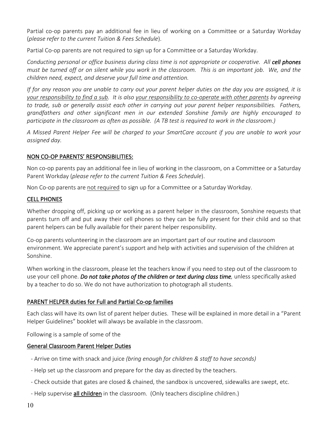Partial co-op parents pay an additional fee in lieu of working on a Committee or a Saturday Workday (*please refer to the current Tuition & Fees Schedule*).

Partial Co-op parents are not required to sign up for a Committee or a Saturday Workday.

*Conducting personal or office business during class time is not appropriate or cooperative. All cell phones must be turned off or on silent while you work in the classroom. This is an important job. We, and the children need, expect, and deserve your full time and attention.*

*If for any reason you are unable to carry out your parent helper duties on the day you are assigned, it is your responsibility to find a sub. It is also your responsibility to co-operate with other parents by agreeing to trade, sub or generally assist each other in carrying out your parent helper responsibilities. Fathers, grandfathers and other significant men in our extended Sonshine family are highly encouraged to participate in the classroom as often as possible. (A TB test is required to work in the classroom.)*

*A Missed Parent Helper Fee will be charged to your SmartCare account if you are unable to work your assigned day.*

#### NON CO-OP PARENTS' RESPONSIBILITIES:

Non co-op parents pay an additional fee in lieu of working in the classroom, on a Committee or a Saturday Parent Workday (*please refer to the current Tuition & Fees Schedule*).

Non Co-op parents are not required to sign up for a Committee or a Saturday Workday.

#### CELL PHONES

Whether dropping off, picking up or working as a parent helper in the classroom, Sonshine requests that parents turn off and put away their cell phones so they can be fully present for their child and so that parent helpers can be fully available for their parent helper responsibility.

Co-op parents volunteering in the classroom are an important part of our routine and classroom environment. We appreciate parent's support and help with activities and supervision of the children at Sonshine.

When working in the classroom, please let the teachers know if you need to step out of the classroom to use your cell phone. *Do not take photos of the children or text during class time,* unless specifically asked by a teacher to do so. We do not have authorization to photograph all students.

#### PARENT HELPER duties for Full and Partial Co-op families

Each class will have its own list of parent helper duties. These will be explained in more detail in a "Parent Helper Guidelines" booklet will always be available in the classroom.

Following is a sample of some of the

#### General Classroom Parent Helper Duties

- Arrive on time with snack and juice *(bring enough for children & staff to have seconds)*
- Help set up the classroom and prepare for the day as directed by the teachers.
- Check outside that gates are closed & chained, the sandbox is uncovered, sidewalks are swept, etc.
- Help supervise all children in the classroom. (Only teachers discipline children.)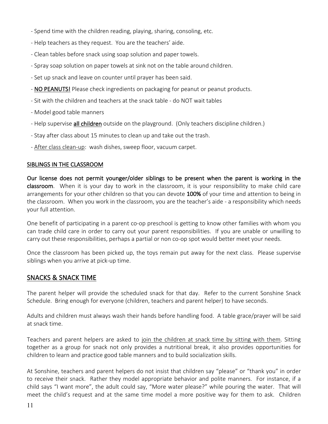- Spend time with the children reading, playing, sharing, consoling, etc.
- Help teachers as they request. You are the teachers' aide.
- Clean tables before snack using soap solution and paper towels.
- Spray soap solution on paper towels at sink not on the table around children.
- Set up snack and leave on counter until prayer has been said.
- NO PEANUTS! Please check ingredients on packaging for peanut or peanut products.
- Sit with the children and teachers at the snack table do NOT wait tables
- Model good table manners
- Help supervise all children outside on the playground. (Only teachers discipline children.)
- Stay after class about 15 minutes to clean up and take out the trash.
- After class clean-up: wash dishes, sweep floor, vacuum carpet.

#### SIBLINGS IN THE CLASSROOM

Our license does not permit younger/older siblings to be present when the parent is working in the classroom. When it is your day to work in the classroom, it is your responsibility to make child care arrangements for your other children so that you can devote 100% of your time and attention to being in the classroom. When you work in the classroom, you are the teacher's aide - a responsibility which needs your full attention.

One benefit of participating in a parent co-op preschool is getting to know other families with whom you can trade child care in order to carry out your parent responsibilities. If you are unable or unwilling to carry out these responsibilities, perhaps a partial or non co-op spot would better meet your needs.

Once the classroom has been picked up, the toys remain put away for the next class. Please supervise siblings when you arrive at pick-up time.

## SNACKS & SNACK TIME

The parent helper will provide the scheduled snack for that day. Refer to the current Sonshine Snack Schedule. Bring enough for everyone (children, teachers and parent helper) to have seconds.

Adults and children must always wash their hands before handling food. A table grace/prayer will be said at snack time.

Teachers and parent helpers are asked to join the children at snack time by sitting with them. Sitting together as a group for snack not only provides a nutritional break, it also provides opportunities for children to learn and practice good table manners and to build socialization skills.

At Sonshine, teachers and parent helpers do not insist that children say "please" or "thank you" in order to receive their snack. Rather they model appropriate behavior and polite manners. For instance, if a child says "I want more", the adult could say, "More water please?" while pouring the water. That will meet the child's request and at the same time model a more positive way for them to ask. Children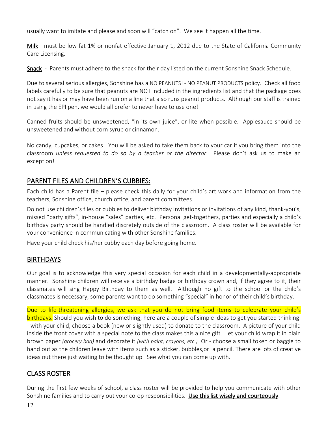usually want to imitate and please and soon will "catch on". We see it happen all the time.

Milk - must be low fat 1% or nonfat effective January 1, 2012 due to the State of California Community Care Licensing.

Snack - Parents must adhere to the snack for their day listed on the current Sonshine Snack Schedule.

Due to several serious allergies, Sonshine has a NO PEANUTS! - NO PEANUT PRODUCTS policy. Check all food labels carefully to be sure that peanuts are NOT included in the ingredients list and that the package does not say it has or may have been run on a line that also runs peanut products. Although our staff is trained in using the EPI pen, we would all prefer to never have to use one!

Canned fruits should be unsweetened, "in its own juice", or lite when possible. Applesauce should be unsweetened and without corn syrup or cinnamon.

No candy, cupcakes, or cakes! You will be asked to take them back to your car if you bring them into the classroom *unless requested to do so by a teacher or the director*. Please don't ask us to make an exception!

## PARENT FILES AND CHILDREN'S CUBBIES:

Each child has a Parent file – please check this daily for your child's art work and information from the teachers, Sonshine office, church office, and parent committees.

Do not use children's files or cubbies to deliver birthday invitations or invitations of any kind, thank-you's, missed "party gifts", in-house "sales" parties, etc. Personal get-togethers, parties and especially a child's birthday party should be handled discretely outside of the classroom. A class roster will be available for your convenience in communicating with other Sonshine families.

Have your child check his/her cubby each day before going home.

## BIRTHDAYS

Our goal is to acknowledge this very special occasion for each child in a developmentally-appropriate manner. Sonshine children will receive a birthday badge or birthday crown and, if they agree to it, their classmates will sing Happy Birthday to them as well. Although no gift to the school or the child's classmates is necessary, some parents want to do something "special" in honor of their child's birthday.

Due to life-threatening allergies, we ask that you do not bring food items to celebrate your child's birthdays. Should you wish to do something, here are a couple of simple ideas to get you started thinking: - with your child, choose a book (new or slightly used) to donate to the classroom. A picture of your child inside the front cover with a special note to the class makes this a nice gift. Let your child wrap it in plain brown paper *(grocery bag)* and decorate it *(with paint, crayons, etc.)* Or - choose a small token or baggie to hand out as the children leave with items such as a sticker, bubbles,or a pencil. There are lots of creative ideas out there just waiting to be thought up. See what you can come up with.

## CLASS ROSTER

During the first few weeks of school, a class roster will be provided to help you communicate with other Sonshine families and to carry out your co-op responsibilities. Use this list wisely and courteously.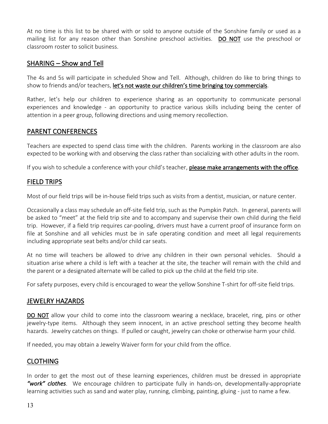At no time is this list to be shared with or sold to anyone outside of the Sonshine family or used as a mailing list for any reason other than Sonshine preschool activities. DO NOT use the preschool or classroom roster to solicit business.

## SHARING – Show and Tell

The 4s and 5s will participate in scheduled Show and Tell. Although, children do like to bring things to show to friends and/or teachers, let's not waste our children's time bringing toy commercials.

Rather, let's help our children to experience sharing as an opportunity to communicate personal experiences and knowledge - an opportunity to practice various skills including being the center of attention in a peer group, following directions and using memory recollection.

## PARENT CONFERENCES

Teachers are expected to spend class time with the children. Parents working in the classroom are also expected to be working with and observing the class rather than socializing with other adults in the room.

If you wish to schedule a conference with your child's teacher, please make arrangements with the office.

## FIELD TRIPS

Most of our field trips will be in-house field trips such as visits from a dentist, musician, or nature center.

Occasionally a class may schedule an off-site field trip, such as the Pumpkin Patch. In general, parents will be asked to "meet" at the field trip site and to accompany and supervise their own child during the field trip. However, if a field trip requires car-pooling, drivers must have a current proof of insurance form on file at Sonshine and all vehicles must be in safe operating condition and meet all legal requirements including appropriate seat belts and/or child car seats.

At no time will teachers be allowed to drive any children in their own personal vehicles. Should a situation arise where a child is left with a teacher at the site, the teacher will remain with the child and the parent or a designated alternate will be called to pick up the child at the field trip site.

For safety purposes, every child is encouraged to wear the yellow Sonshine T-shirt for off-site field trips.

## JEWELRY HAZARDS

DO NOT allow your child to come into the classroom wearing a necklace, bracelet, ring, pins or other jewelry-type items. Although they seem innocent, in an active preschool setting they become health hazards. Jewelry catches on things. If pulled or caught, jewelry can choke or otherwise harm your child.

If needed, you may obtain a Jewelry Waiver form for your child from the office.

## CLOTHING

In order to get the most out of these learning experiences, children must be dressed in appropriate *"work" clothes*. We encourage children to participate fully in hands-on, developmentally-appropriate learning activities such as sand and water play, running, climbing, painting, gluing - just to name a few.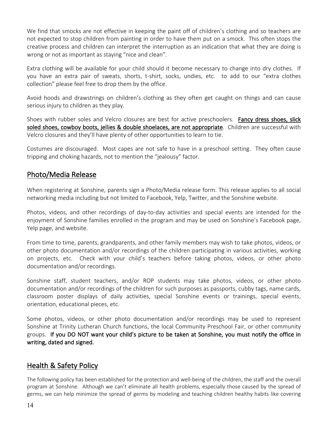We find that smocks are not effective in keeping the paint off of children's clothing and so teachers are not expected to stop children from painting in order to have them put on a smock. This often stops the creative process and children can interpret the interruption as an indication that what they are doing is wrong or not as important as staying "nice and clean".

Extra clothing will be available for your child should it become necessary to change into dry clothes. If you have an extra pair of sweats, shorts, t-shirt, socks, undies, etc. to add to our "extra clothes collection" please feel free to drop them by the office.

Avoid hoods and drawstrings on children's clothing as they often get caught on things and can cause serious injury to children as they play.

Shoes with rubber soles and Velcro closures are best for active preschoolers. Fancy dress shoes, slick soled shoes, cowboy boots, jellies & double shoelaces, are not appropriate. Children are successful with Velcro closures and they'll have plenty of other opportunities to learn to tie.

Costumes are discouraged. Most capes are not safe to have in a preschool setting. They often cause tripping and choking hazards, not to mention the "jealousy" factor.

## Photo/Media Release

When registering at Sonshine, parents sign a Photo/Media release form. This release applies to all social networking media including but not limited to Facebook, Yelp, Twitter, and the Sonshine website.

Photos, videos, and other recordings of day-to-day activities and special events are intended for the enjoyment of Sonshine families enrolled in the program and may be used on Sonshine's Facebook page, Yelp page, and website.

From time to time, parents, grandparents, and other family members may wish to take photos, videos, or other photo documentation and/or recordings of the children participating in various activities, working on projects, etc. Check with your child's teachers before taking photos, videos, or other photo documentation and/or recordings.

Sonshine staff, student teachers, and/or ROP students may take photos, videos, or other photo documentation and/or recordings of the children for such purposes as passports, cubby tags, name cards, classroom poster displays of daily activities, special Sonshine events or trainings, special events, orientation, educational pieces, etc.

Some photos, videos, or other photo documentation and/or recordings may be used to represent Sonshine at Trinity Lutheran Church functions, the local Community Preschool Fair, or other community groups. If you DO NOT want your child's picture to be taken at Sonshine, you must notify the office in writing, dated and signed.

## Health & Safety Policy

The following policy has been established for the protection and well-being of the children, the staff and the overall program at Sonshine. Although we can't eliminate all health problems, especially those caused by the spread of germs, we can help minimize the spread of germs by modeling and teaching children healthy habits like covering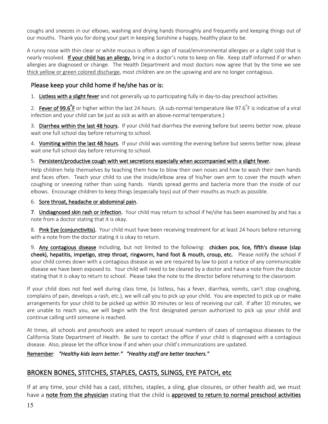coughs and sneezes in our elbows, washing and drying hands thoroughly and frequently and keeping things out of our mouths. Thank you for doing your part in keeping Sonshine a happy, healthy place to be.

A runny nose with thin clear or white mucous is often a sign of nasal/environmental allergies or a slight cold that is nearly resolved. If your child has an allergy, bring in a doctor's note to keep on file. Keep staff informed if or when allergies are diagnosed or change. The Health Department and most doctors now agree that by the time we see thick yellow or green colored discharge, most children are on the upswing and are no longer contagious.

## Please keep your child home if he/she has or is:

1. Listless with a slight fever and not generally up to participating fully in day-to-day preschool activities.

2. Fever of 99.6<sup>°</sup>F or higher within the last 24 hours. (A sub-normal temperature like 97.6<sup>°</sup>F is indicative of a viral infection and your child can be just as sick as with an above-normal temperature.)

3. Diarrhea within the last 48 hours. If your child had diarrhea the evening before but seems better now, please wait one full school day before returning to school.

4. Vomiting within the last 48 hours. If your child was vomiting the evening before but seems better now, please wait one full school day before returning to school.

5. Persistent/productive cough with wet secretions especially when accompanied with a slight fever.

Help children help themselves by teaching them how to blow their own noses and how to wash their own hands and faces often. Teach your child to use the inside/elbow area of his/her own arm to cover the mouth when coughing or sneezing rather than using hands. Hands spread germs and bacteria more than the inside of our elbows. Encourage children to keep things (especially toys) out of their mouths as much as possible.

#### 6. Sore throat, headache or abdominal pain.

7. Undiagnosed skin rash or infection. Your child may return to school if he/she has been examined by and has a note from a doctor stating that it is okay.

8. Pink Eye (conjunctivitis). Your child must have been receiving treatment for at least 24 hours before returning with a note from the doctor stating it is okay to return.

9. Any contagious disease including, but not limited to the following: chicken pox, lice, fifth's disease (slap cheek), hepatitis, impetigo, strep throat, ringworm, hand foot & mouth, croup, etc. Please notify the school if your child comes down with a contagious disease as we are required by law to post a notice of any communicable disease we have been exposed to. Your child will need to be cleared by a doctor and have a note from the doctor stating that it is okay to return to school. Please take the note to the director before returning to the classroom.

If your child does not feel well during class time, (is listless, has a fever, diarrhea, vomits, can't stop coughing, complains of pain, develops a rash, etc.), we will call you to pick up your child. You are expected to pick up or make arrangements for your child to be picked up within 30 minutes or less of receiving our call. If after 10 minutes, we are unable to reach you, we will begin with the first designated person authorized to pick up your child and continue calling until someone is reached.

At times, all schools and preschools are asked to report unusual numbers of cases of contagious diseases to the California State Department of Health. Be sure to contact the office if your child is diagnosed with a contagious disease. Also, please let the office know if and when your child's immunizations are updated.

Remember: *"Healthy kids learn better." "Healthy staff are better teachers."* 

## BROKEN BONES, STITCHES, STAPLES, CASTS, SLINGS, EYE PATCH, etc

If at any time, your child has a cast, stitches, staples, a sling, glue closures, or other health aid, we must have a note from the physician stating that the child is approved to return to normal preschool activities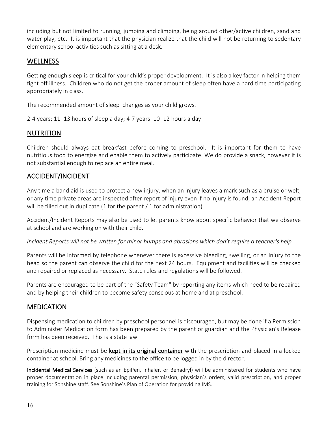including but not limited to running, jumping and climbing, being around other/active children, sand and water play, etc. It is important that the physician realize that the child will not be returning to sedentary elementary school activities such as sitting at a desk.

## WELLNESS

Getting enough sleep is critical for your child's proper development. It is also a key factor in helping them fight off illness. Children who do not get the proper amount of sleep often have a hard time participating appropriately in class.

The recommended amount of sleep changes as your child grows.

2-4 years: 11- 13 hours of sleep a day; 4-7 years: 10- 12 hours a day

## NUTRITION

Children should always eat breakfast before coming to preschool. It is important for them to have nutritious food to energize and enable them to actively participate. We do provide a snack, however it is not substantial enough to replace an entire meal.

## ACCIDENT/INCIDENT

Any time a band aid is used to protect a new injury, when an injury leaves a mark such as a bruise or welt, or any time private areas are inspected after report of injury even if no injury is found, an Accident Report will be filled out in duplicate (1 for the parent / 1 for administration).

Accident/Incident Reports may also be used to let parents know about specific behavior that we observe at school and are working on with their child.

*Incident Reports will not be written for minor bumps and abrasions which don't require a teacher's help.*

Parents will be informed by telephone whenever there is excessive bleeding, swelling, or an injury to the head so the parent can observe the child for the next 24 hours. Equipment and facilities will be checked and repaired or replaced as necessary. State rules and regulations will be followed.

Parents are encouraged to be part of the "Safety Team" by reporting any items which need to be repaired and by helping their children to become safety conscious at home and at preschool.

## **MEDICATION**

Dispensing medication to children by preschool personnel is discouraged, but may be done if a Permission to Administer Medication form has been prepared by the parent or guardian and the Physician's Release form has been received. This is a state law.

Prescription medicine must be kept in its original container with the prescription and placed in a locked container at school. Bring any medicines to the office to be logged in by the director.

Incidental Medical Services (such as an EpiPen, Inhaler, or Benadryl) will be administered for students who have proper documentation in place including parental permission, physician's orders, valid prescription, and proper training for Sonshine staff. See Sonshine's Plan of Operation for providing IMS.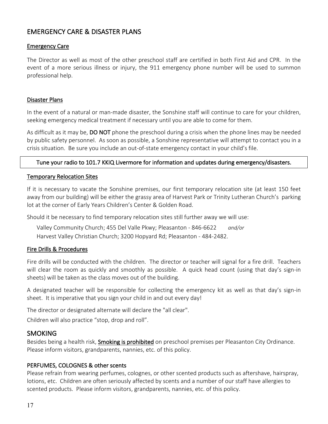## EMERGENCY CARE & DISASTER PLANS

#### Emergency Care

The Director as well as most of the other preschool staff are certified in both First Aid and CPR. In the event of a more serious illness or injury, the 911 emergency phone number will be used to summon professional help.

#### Disaster Plans

In the event of a natural or man-made disaster, the Sonshine staff will continue to care for your children, seeking emergency medical treatment if necessary until you are able to come for them.

As difficult as it may be, **DO NOT** phone the preschool during a crisis when the phone lines may be needed by public safety personnel. As soon as possible, a Sonshine representative will attempt to contact you in a crisis situation. Be sure you include an out-of-state emergency contact in your child's file.

### Tune your radio to 101.7 KKIQ Livermore for information and updates during emergency/disasters.

#### Temporary Relocation Sites

If it is necessary to vacate the Sonshine premises, our first temporary relocation site (at least 150 feet away from our building) will be either the grassy area of Harvest Park or Trinity Lutheran Church's parking lot at the corner of Early Years Children's Center & Golden Road.

Should it be necessary to find temporary relocation sites still further away we will use:

Valley Community Church; 455 Del Valle Pkwy; Pleasanton - 846-6622 *and/or* Harvest Valley Christian Church; 3200 Hopyard Rd; Pleasanton - 484-2482.

#### Fire Drills & Procedures

Fire drills will be conducted with the children. The director or teacher will signal for a fire drill. Teachers will clear the room as quickly and smoothly as possible. A quick head count (using that day's sign-in sheets) will be taken as the class moves out of the building.

A designated teacher will be responsible for collecting the emergency kit as well as that day's sign-in sheet. It is imperative that you sign your child in and out every day!

The director or designated alternate will declare the "all clear".

Children will also practice "stop, drop and roll".

## **SMOKING**

Besides being a health risk, Smoking is prohibited on preschool premises per Pleasanton City Ordinance. Please inform visitors, grandparents, nannies, etc. of this policy.

#### PERFUMES, COLOGNES & other scents

Please refrain from wearing perfumes, colognes, or other scented products such as aftershave, hairspray, lotions, etc. Children are often seriously affected by scents and a number of our staff have allergies to scented products. Please inform visitors, grandparents, nannies, etc. of this policy.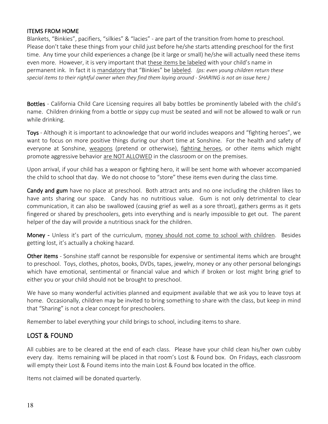#### ITEMS FROM HOME

Blankets, "Binkies", pacifiers, "silkies" & "lacies" - are part of the transition from home to preschool. Please don't take these things from your child just before he/she starts attending preschool for the first time. Any time your child experiences a change (be it large or small) he/she will actually need these items even more. However, it is very important that these items be labeled with your child's name in permanent ink. In fact it is mandatory that "Binkies" be labeled. *(ps: even young children return these special items to their rightful owner when they find them laying around - SHARING is not an issue here.)*

Bottles - California Child Care Licensing requires all baby bottles be prominently labeled with the child's name. Children drinking from a bottle or sippy cup must be seated and will not be allowed to walk or run while drinking.

Toys - Although it is important to acknowledge that our world includes weapons and "fighting heroes", we want to focus on more positive things during our short time at Sonshine. For the health and safety of everyone at Sonshine, weapons (pretend or otherwise), fighting heroes, or other items which might promote aggressive behavior are NOT ALLOWED in the classroom or on the premises.

Upon arrival, if your child has a weapon or fighting hero, it will be sent home with whoever accompanied the child to school that day. We do not choose to "store" these items even during the class time.

Candy and gum have no place at preschool. Both attract ants and no one including the children likes to have ants sharing our space. Candy has no nutritious value. Gum is not only detrimental to clear communication, it can also be swallowed (causing grief as well as a sore throat), gathers germs as it gets fingered or shared by preschoolers, gets into everything and is nearly impossible to get out. The parent helper of the day will provide a nutritious snack for the children.

Money - Unless it's part of the curriculum, money should not come to school with children. Besides getting lost, it's actually a choking hazard.

Other items - Sonshine staff cannot be responsible for expensive or sentimental items which are brought to preschool. Toys, clothes, photos, books, DVDs, tapes, jewelry, money or any other personal belongings which have emotional, sentimental or financial value and which if broken or lost might bring grief to either you or your child should not be brought to preschool.

We have so many wonderful activities planned and equipment available that we ask you to leave toys at home. Occasionally, children may be invited to bring something to share with the class, but keep in mind that "Sharing" is not a clear concept for preschoolers.

Remember to label everything your child brings to school, including items to share.

## LOST & FOUND

All cubbies are to be cleared at the end of each class. Please have your child clean his/her own cubby every day. Items remaining will be placed in that room's Lost & Found box. On Fridays, each classroom will empty their Lost & Found items into the main Lost & Found box located in the office.

Items not claimed will be donated quarterly.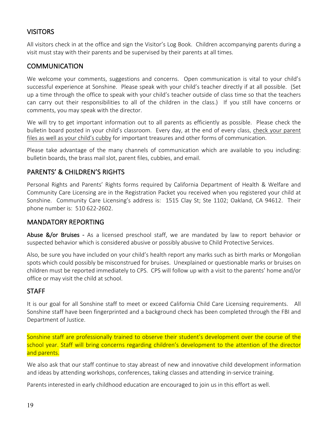## **VISITORS**

All visitors check in at the office and sign the Visitor's Log Book. Children accompanying parents during a visit must stay with their parents and be supervised by their parents at all times.

## **COMMUNICATION**

We welcome your comments, suggestions and concerns. Open communication is vital to your child's successful experience at Sonshine. Please speak with your child's teacher directly if at all possible. (Set up a time through the office to speak with your child's teacher outside of class time so that the teachers can carry out their responsibilities to all of the children in the class.) If you still have concerns or comments, you may speak with the director.

We will try to get important information out to all parents as efficiently as possible. Please check the bulletin board posted in your child's classroom. Every day, at the end of every class, check your parent files as well as your child's cubby for important treasures and other forms of communication.

Please take advantage of the many channels of communication which are available to you including: bulletin boards, the brass mail slot, parent files, cubbies, and email.

## PARENTS' & CHILDREN'S RIGHTS

Personal Rights and Parents' Rights forms required by California Department of Health & Welfare and Community Care Licensing are in the Registration Packet you received when you registered your child at Sonshine. Community Care Licensing's address is: 1515 Clay St; Ste 1102; Oakland, CA 94612. Their phone number is: 510 622-2602.

## MANDATORY REPORTING

Abuse &/or Bruises - As a licensed preschool staff, we are mandated by law to report behavior or suspected behavior which is considered abusive or possibly abusive to Child Protective Services.

Also, be sure you have included on your child's health report any marks such as birth marks or Mongolian spots which could possibly be misconstrued for bruises. Unexplained or questionable marks or bruises on children must be reported immediately to CPS. CPS will follow up with a visit to the parents' home and/or office or may visit the child at school.

## **STAFF**

It is our goal for all Sonshine staff to meet or exceed California Child Care Licensing requirements. All Sonshine staff have been fingerprinted and a background check has been completed through the FBI and Department of Justice.

Sonshine staff are professionally trained to observe their student's development over the course of the school year. Staff will bring concerns regarding children's development to the attention of the director and parents.

We also ask that our staff continue to stay abreast of new and innovative child development information and ideas by attending workshops, conferences, taking classes and attending in-service training.

Parents interested in early childhood education are encouraged to join us in this effort as well.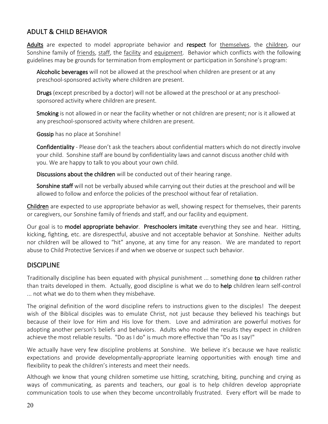## ADULT & CHILD BEHAVIOR

Adults are expected to model appropriate behavior and respect for themselves, the children, our Sonshine family of friends, staff, the facility and equipment. Behavior which conflicts with the following guidelines may be grounds for termination from employment or participation in Sonshine's program:

Alcoholic beverages will not be allowed at the preschool when children are present or at any preschool-sponsored activity where children are present.

Drugs (except prescribed by a doctor) will not be allowed at the preschool or at any preschoolsponsored activity where children are present.

Smoking is not allowed in or near the facility whether or not children are present; nor is it allowed at any preschool-sponsored activity where children are present.

Gossip has no place at Sonshine!

Confidentiality - Please don't ask the teachers about confidential matters which do not directly involve your child. Sonshine staff are bound by confidentiality laws and cannot discuss another child with you. We are happy to talk to you about your own child.

Discussions about the children will be conducted out of their hearing range.

Sonshine staff will not be verbally abused while carrying out their duties at the preschool and will be allowed to follow and enforce the policies of the preschool without fear of retaliation.

Children are expected to use appropriate behavior as well, showing respect for themselves, their parents or caregivers, our Sonshine family of friends and staff, and our facility and equipment.

Our goal is to model appropriate behavior. Preschoolers imitate everything they see and hear. Hitting, kicking, fighting, etc. are disrespectful, abusive and not acceptable behavior at Sonshine. Neither adults nor children will be allowed to "hit" anyone, at any time for any reason. We are mandated to report abuse to Child Protective Services if and when we observe or suspect such behavior.

## **DISCIPLINE**

Traditionally discipline has been equated with physical punishment ... something done to children rather than traits developed in them. Actually, good discipline is what we do to help children learn self-control ... not what we do to them when they misbehave.

The original definition of the word discipline refers to instructions given to the disciples! The deepest wish of the Biblical disciples was to emulate Christ, not just because they believed his teachings but because of their love for Him and His love for them. Love and admiration are powerful motives for adopting another person's beliefs and behaviors. Adults who model the results they expect in children achieve the most reliable results. "Do as I do" is much more effective than "Do as I say!"

We actually have very few discipline problems at Sonshine. We believe it's because we have realistic expectations and provide developmentally-appropriate learning opportunities with enough time and flexibility to peak the children's interests and meet their needs.

Although we know that young children sometime use hitting, scratching, biting, punching and crying as ways of communicating, as parents and teachers, our goal is to help children develop appropriate communication tools to use when they become uncontrollably frustrated. Every effort will be made to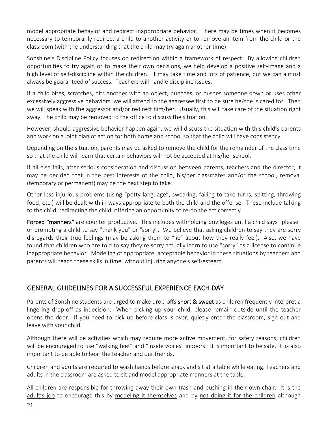model appropriate behavior and redirect inappropriate behavior. There may be times when it becomes necessary to temporarily redirect a child to another activity or to remove an item from the child or the classroom (with the understanding that the child may try again another time).

Sonshine's Discipline Policy focuses on redirection within a framework of respect. By allowing children opportunities to try again or to make their own decisions, we help develop a positive self-image and a high level of self-discipline within the children. It may take time and lots of patience, but we can almost always be guaranteed of success. Teachers will handle discipline issues.

If a child bites, scratches, hits another with an object, punches, or pushes someone down or uses other excessively aggressive behaviors, we will attend to the aggressee first to be sure he/she is cared for. Then we will speak with the aggressor and/or redirect him/her. Usually, this will take care of the situation right away. The child may be removed to the office to discuss the situation.

However, should aggressive behavior happen again, we will discuss the situation with this child's parents and work on a joint plan of action for both home and school so that the child will have consistency.

Depending on the situation, parents may be asked to remove the child for the remainder of the class time so that the child will learn that certain behaviors will not be accepted at his/her school.

If all else fails, after serious consideration and discussion between parents, teachers and the director, it may be decided that in the best interests of the child, his/her classmates and/or the school, removal (temporary or permanent) may be the next step to take.

Other less injurious problems (using "potty language", swearing, failing to take turns, spitting, throwing food, etc.) will be dealt with in ways appropriate to both the child and the offense. These include talking to the child, redirecting the child, offering an opportunity to re-do the act correctly.

Forced "manners" are counter productive. This includes withholding privileges until a child says "please" or prompting a child to say "thank you" or "sorry". We believe that asking children to say they are sorry disregards their true feelings (may be asking them to "lie" about how they really feel). Also, we have found that children who are told to say they're sorry actually learn to use "sorry" as a license to continue inappropriate behavior. Modeling of appropriate, acceptable behavior in these situations by teachers and parents will teach these skills in time, without injuring anyone's self-esteem.

## GENERAL GUIDELINES FOR A SUCCESSFUL EXPERIENCE EACH DAY

Parents of Sonshine students are urged to make drop-offs short & sweet as children frequently interpret a lingering drop-off as indecision. When picking up your child, please remain outside until the teacher opens the door. If you need to pick up before class is over, quietly enter the classroom, sign out and leave with your child.

Although there will be activities which may require more active movement, for safety reasons, children will be encouraged to use "walking feet" and "inside voices" indoors. It is important to be safe. It is also important to be able to hear the teacher and our friends.

Children and adults are required to wash hands before snack and sit at a table while eating. Teachers and adults in the classroom are asked to sit and model appropriate manners at the table.

All children are responsible for throwing away their own trash and pushing in their own chair. It is the adult's job to encourage this by modeling it themselves and by not doing it for the children although